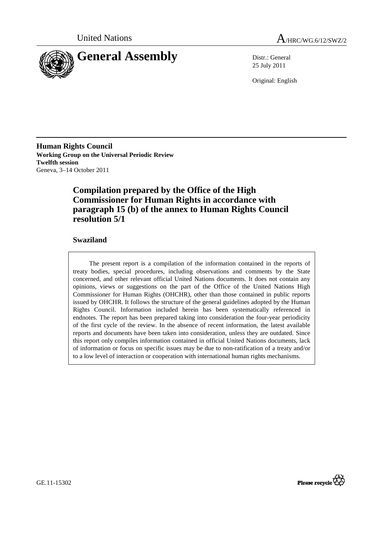



25 July 2011

Original: English

**Human Rights Council Working Group on the Universal Periodic Review Twelfth session**  Geneva, 3–14 October 2011

# **Compilation prepared by the Office of the High Commissioner for Human Rights in accordance with paragraph 15 (b) of the annex to Human Rights Council resolution 5/1**

# **Swaziland**

The present report is a compilation of the information contained in the reports of treaty bodies, special procedures, including observations and comments by the State concerned, and other relevant official United Nations documents. It does not contain any opinions, views or suggestions on the part of the Office of the United Nations High Commissioner for Human Rights (OHCHR), other than those contained in public reports issued by OHCHR. It follows the structure of the general guidelines adopted by the Human Rights Council. Information included herein has been systematically referenced in endnotes. The report has been prepared taking into consideration the four-year periodicity of the first cycle of the review. In the absence of recent information, the latest available reports and documents have been taken into consideration, unless they are outdated. Since this report only compiles information contained in official United Nations documents, lack of information or focus on specific issues may be due to non-ratification of a treaty and/or to a low level of interaction or cooperation with international human rights mechanisms.

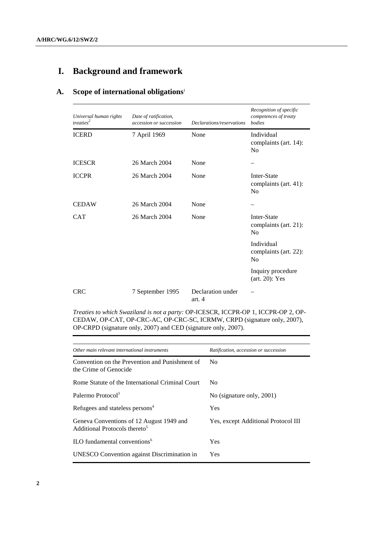# **I. Background and framework**

# **A. Scope of international obligations**<sup>1</sup>

| Universal human rights<br>treaties <sup>2</sup> | Date of ratification,<br>accession or succession | Declarations/reservations   | Recognition of specific<br>competences of treaty<br>bodies |
|-------------------------------------------------|--------------------------------------------------|-----------------------------|------------------------------------------------------------|
| <b>ICERD</b>                                    | 7 April 1969                                     | None                        | Individual<br>complaints (art. 14):<br>No                  |
| <b>ICESCR</b>                                   | 26 March 2004                                    | None                        |                                                            |
| <b>ICCPR</b>                                    | 26 March 2004                                    | None                        | Inter-State<br>complaints (art. 41):<br>No                 |
| <b>CEDAW</b>                                    | 26 March 2004                                    | None                        |                                                            |
| <b>CAT</b>                                      | 26 March 2004                                    | None                        | Inter-State<br>complaints (art. 21):<br>No                 |
|                                                 |                                                  |                             | Individual<br>complaints (art. 22):<br>N <sub>0</sub>      |
|                                                 |                                                  |                             | Inquiry procedure<br>$(art. 20)$ : Yes                     |
| <b>CRC</b>                                      | 7 September 1995                                 | Declaration under<br>art. 4 |                                                            |

*Treaties to which Swaziland is not a party:* OP-ICESCR, ICCPR-OP 1, ICCPR-OP 2, OP-CEDAW, OP-CAT, OP-CRC-AC, OP-CRC-SC, ICRMW, CRPD (signature only, 2007), OP-CRPD (signature only, 2007) and CED (signature only, 2007).

| Other main relevant international instruments                                         | Ratification, accession or succession |
|---------------------------------------------------------------------------------------|---------------------------------------|
| Convention on the Prevention and Punishment of<br>the Crime of Genocide               | No.                                   |
| Rome Statute of the International Criminal Court                                      | No                                    |
| Palermo Protocol <sup>3</sup>                                                         | No (signature only, 2001)             |
| Refugees and stateless persons <sup>4</sup>                                           | Yes                                   |
| Geneva Conventions of 12 August 1949 and<br>Additional Protocols thereto <sup>5</sup> | Yes, except Additional Protocol III   |
| $\rm ILO$ fundamental conventions <sup>6</sup>                                        | Yes                                   |
| UNESCO Convention against Discrimination in                                           | <b>Yes</b>                            |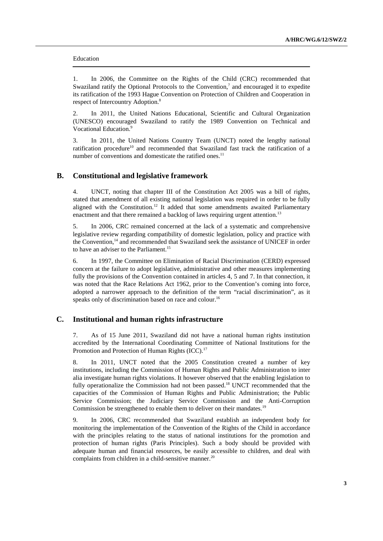#### Education

1. In 2006, the Committee on the Rights of the Child (CRC) recommended that Swaziland ratify the Optional Protocols to the Convention,<sup>7</sup> and encouraged it to expedite its ratification of the 1993 Hague Convention on Protection of Children and Cooperation in respect of Intercountry Adoption.<sup>8</sup>

2. In 2011, the United Nations Educational, Scientific and Cultural Organization (UNESCO) encouraged Swaziland to ratify the 1989 Convention on Technical and Vocational Education.<sup>9</sup>

3. In 2011, the United Nations Country Team (UNCT) noted the lengthy national ratification procedure<sup>10</sup> and recommended that Swaziland fast track the ratification of a number of conventions and domesticate the ratified ones. $11$ 

### **B. Constitutional and legislative framework**

4. UNCT, noting that chapter III of the Constitution Act 2005 was a bill of rights, stated that amendment of all existing national legislation was required in order to be fully aligned with the Constitution.<sup>12</sup> It added that some amendments awaited Parliamentary enactment and that there remained a backlog of laws requiring urgent attention.<sup>13</sup>

5. In 2006, CRC remained concerned at the lack of a systematic and comprehensive legislative review regarding compatibility of domestic legislation, policy and practice with the Convention,<sup>14</sup> and recommended that Swaziland seek the assistance of UNICEF in order to have an adviser to the Parliament.<sup>15</sup>

6. In 1997, the Committee on Elimination of Racial Discrimination (CERD) expressed concern at the failure to adopt legislative, administrative and other measures implementing fully the provisions of the Convention contained in articles 4, 5 and 7. In that connection, it was noted that the Race Relations Act 1962, prior to the Convention's coming into force, adopted a narrower approach to the definition of the term "racial discrimination", as it speaks only of discrimination based on race and colour.<sup>16</sup>

### **C. Institutional and human rights infrastructure**

7. As of 15 June 2011, Swaziland did not have a national human rights institution accredited by the International Coordinating Committee of National Institutions for the Promotion and Protection of Human Rights (ICC).<sup>17</sup>

8. In 2011, UNCT noted that the 2005 Constitution created a number of key institutions, including the Commission of Human Rights and Public Administration to inter alia investigate human rights violations. It however observed that the enabling legislation to fully operationalize the Commission had not been passed.<sup>18</sup> UNCT recommended that the capacities of the Commission of Human Rights and Public Administration; the Public Service Commission; the Judiciary Service Commission and the Anti-Corruption Commission be strengthened to enable them to deliver on their mandates.<sup>19</sup>

9. In 2006, CRC recommended that Swaziland establish an independent body for monitoring the implementation of the Convention of the Rights of the Child in accordance with the principles relating to the status of national institutions for the promotion and protection of human rights (Paris Principles). Such a body should be provided with adequate human and financial resources, be easily accessible to children, and deal with complaints from children in a child-sensitive manner.<sup>20</sup>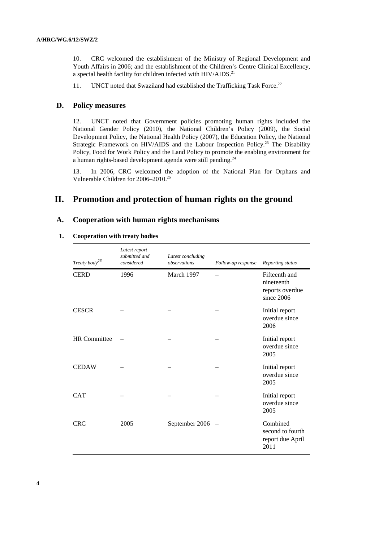10. CRC welcomed the establishment of the Ministry of Regional Development and Youth Affairs in 2006; and the establishment of the Children's Centre Clinical Excellency, a special health facility for children infected with HIV/AIDS.<sup>21</sup>

11. UNCT noted that Swaziland had established the Trafficking Task Force.<sup>22</sup>

### **D. Policy measures**

12. UNCT noted that Government policies promoting human rights included the National Gender Policy (2010), the National Children's Policy (2009), the Social Development Policy, the National Health Policy (2007), the Education Policy, the National Strategic Framework on HIV/AIDS and the Labour Inspection Policy.<sup>23</sup> The Disability Policy, Food for Work Policy and the Land Policy to promote the enabling environment for a human rights-based development agenda were still pending.<sup>24</sup>

13. In 2006, CRC welcomed the adoption of the National Plan for Orphans and Vulnerable Children for 2006–2010.<sup>25</sup>

# **II. Promotion and protection of human rights on the ground**

## **A. Cooperation with human rights mechanisms**

#### **1. Cooperation with treaty bodies**

| Treaty body <sup>26</sup> | Latest report<br>submitted and<br>considered | Latest concluding<br>observations | Follow-up response       | Reporting status                                             |
|---------------------------|----------------------------------------------|-----------------------------------|--------------------------|--------------------------------------------------------------|
| <b>CERD</b>               | 1996                                         | March 1997                        |                          | Fifteenth and<br>nineteenth<br>reports overdue<br>since 2006 |
| <b>CESCR</b>              |                                              |                                   |                          | Initial report<br>overdue since<br>2006                      |
| <b>HR</b> Committee       |                                              |                                   |                          | Initial report<br>overdue since<br>2005                      |
| <b>CEDAW</b>              |                                              |                                   |                          | Initial report<br>overdue since<br>2005                      |
| <b>CAT</b>                |                                              |                                   |                          | Initial report<br>overdue since<br>2005                      |
| <b>CRC</b>                | 2005                                         | September 2006                    | $\overline{\phantom{a}}$ | Combined<br>second to fourth<br>report due April<br>2011     |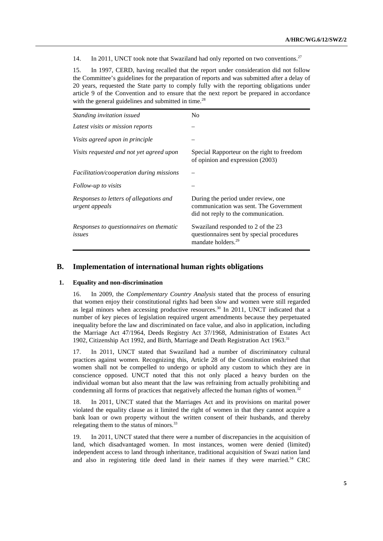14. In 2011, UNCT took note that Swaziland had only reported on two conventions.<sup>27</sup>

15. In 1997, CERD, having recalled that the report under consideration did not follow the Committee's guidelines for the preparation of reports and was submitted after a delay of 20 years, requested the State party to comply fully with the reporting obligations under article 9 of the Convention and to ensure that the next report be prepared in accordance with the general guidelines and submitted in time.<sup>28</sup>

| <i>Standing invitation issued</i>                         | N <sub>0</sub>                                                                                                       |
|-----------------------------------------------------------|----------------------------------------------------------------------------------------------------------------------|
| Latest visits or mission reports                          |                                                                                                                      |
| Visits agreed upon in principle                           |                                                                                                                      |
| Visits requested and not yet agreed upon                  | Special Rapporteur on the right to freedom<br>of opinion and expression (2003)                                       |
| <i>Facilitation/cooperation during missions</i>           |                                                                                                                      |
| Follow-up to visits                                       |                                                                                                                      |
| Responses to letters of allegations and<br>urgent appeals | During the period under review, one<br>communication was sent. The Government<br>did not reply to the communication. |
| Responses to questionnaires on thematic<br>issues         | Swaziland responded to 2 of the 23<br>questionnaires sent by special procedures<br>mandate holders. <sup>29</sup>    |

### **B. Implementation of international human rights obligations**

#### **1. Equality and non-discrimination**

16. In 2009, the *Complementary Country Analysis* stated that the process of ensuring that women enjoy their constitutional rights had been slow and women were still regarded as legal minors when accessing productive resources. <sup>30</sup> In 2011, UNCT indicated that a number of key pieces of legislation required urgent amendments because they perpetuated inequality before the law and discriminated on face value, and also in application, including the Marriage Act 47/1964, Deeds Registry Act 37/1968, Administration of Estates Act 1902, Citizenship Act 1992, and Birth, Marriage and Death Registration Act 1963.<sup>31</sup>

17. In 2011, UNCT stated that Swaziland had a number of discriminatory cultural practices against women. Recognizing this, Article 28 of the Constitution enshrined that women shall not be compelled to undergo or uphold any custom to which they are in conscience opposed. UNCT noted that this not only placed a heavy burden on the individual woman but also meant that the law was refraining from actually prohibiting and condemning all forms of practices that negatively affected the human rights of women.<sup>32</sup>

18. In 2011, UNCT stated that the Marriages Act and its provisions on marital power violated the equality clause as it limited the right of women in that they cannot acquire a bank loan or own property without the written consent of their husbands, and thereby relegating them to the status of minors.<sup>33</sup>

19. In 2011, UNCT stated that there were a number of discrepancies in the acquisition of land, which disadvantaged women. In most instances, women were denied (limited) independent access to land through inheritance, traditional acquisition of Swazi nation land and also in registering title deed land in their names if they were married.34 CRC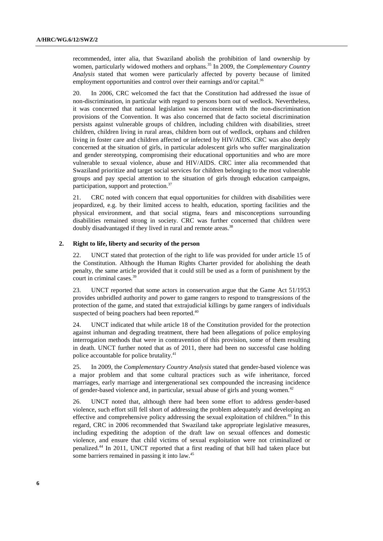recommended, inter alia, that Swaziland abolish the prohibition of land ownership by women, particularly widowed mothers and orphans.<sup>35</sup> In 2009, the *Complementary Country Analysis* stated that women were particularly affected by poverty because of limited employment opportunities and control over their earnings and/or capital.<sup>36</sup>

20. In 2006, CRC welcomed the fact that the Constitution had addressed the issue of non-discrimination, in particular with regard to persons born out of wedlock. Nevertheless, it was concerned that national legislation was inconsistent with the non**-**discrimination provisions of the Convention. It was also concerned that de facto societal discrimination persists against vulnerable groups of children, including children with disabilities, street children, children living in rural areas, children born out of wedlock, orphans and children living in foster care and children affected or infected by HIV/AIDS. CRC was also deeply concerned at the situation of girls, in particular adolescent girls who suffer marginalization and gender stereotyping, compromising their educational opportunities and who are more vulnerable to sexual violence, abuse and HIV/AIDS. CRC inter alia recommended that Swaziland prioritize and target social services for children belonging to the most vulnerable groups and pay special attention to the situation of girls through education campaigns, participation, support and protection.<sup>37</sup>

21. CRC noted with concern that equal opportunities for children with disabilities were jeopardized, e.g. by their limited access to health, education, sporting facilities and the physical environment, and that social stigma, fears and misconceptions surrounding disabilities remained strong in society. CRC was further concerned that children were doubly disadvantaged if they lived in rural and remote areas.<sup>38</sup>

#### **2. Right to life, liberty and security of the person**

22. UNCT stated that protection of the right to life was provided for under article 15 of the Constitution. Although the Human Rights Charter provided for abolishing the death penalty, the same article provided that it could still be used as a form of punishment by the court in criminal cases.<sup>39</sup>

23. UNCT reported that some actors in conservation argue that the Game Act 51/1953 provides unbridled authority and power to game rangers to respond to transgressions of the protection of the game, and stated that extrajudicial killings by game rangers of individuals suspected of being poachers had been reported.<sup>40</sup>

24. UNCT indicated that while article 18 of the Constitution provided for the protection against inhuman and degrading treatment, there had been allegations of police employing interrogation methods that were in contravention of this provision, some of them resulting in death. UNCT further noted that as of 2011, there had been no successful case holding police accountable for police brutality.<sup>41</sup>

25. In 2009, the *Complementary Country Analysis* stated that gender-based violence was a major problem and that some cultural practices such as wife inheritance, forced marriages, early marriage and intergenerational sex compounded the increasing incidence of gender-based violence and, in particular, sexual abuse of girls and young women.<sup>42</sup>

26. UNCT noted that, although there had been some effort to address gender-based violence, such effort still fell short of addressing the problem adequately and developing an effective and comprehensive policy addressing the sexual exploitation of children.<sup>43</sup> In this regard, CRC in 2006 recommended that Swaziland take appropriate legislative measures, including expediting the adoption of the draft law on sexual offences and domestic violence, and ensure that child victims of sexual exploitation were not criminalized or penalized.<sup>44</sup> In 2011, UNCT reported that a first reading of that bill had taken place but some barriers remained in passing it into law.<sup>45</sup>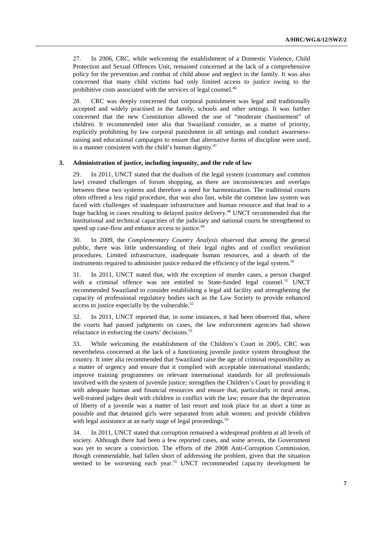27. In 2006, CRC, while welcoming the establishment of a Domestic Violence, Child Protection and Sexual Offences Unit, remained concerned at the lack of a comprehensive policy for the prevention and combat of child abuse and neglect in the family. It was also concerned that many child victims had only limited access to justice owing to the prohibitive costs associated with the services of legal counsel.<sup>46</sup>

28. CRC was deeply concerned that corporal punishment was legal and traditionally accepted and widely practised in the family, schools and other settings. It was further concerned that the new Constitution allowed the use of "moderate chastisement" of children. It recommended inter alia that Swaziland consider, as a matter of priority, explicitly prohibiting by law corporal punishment in all settings and conduct awarenessraising and educational campaigns to ensure that alternative forms of discipline were used, in a manner consistent with the child's human dignity. $47$ 

#### **3. Administration of justice, including impunity, and the rule of law**

29. In 2011, UNCT stated that the dualism of the legal system (customary and common law) created challenges of forum shopping, as there are inconsistencies and overlaps between these two systems and therefore a need for harmonization. The traditional courts often offered a less rigid procedure, that was also fast, while the common law system was faced with challenges of inadequate infrastructure and human resource and that lead to a huge backlog in cases resulting to delayed justice delivery.<sup>48</sup> UNCT recommended that the institutional and technical capacities of the judiciary and national courts be strengthened to speed up case-flow and enhance access to justice.<sup>49</sup>

30. In 2009, the *Complementary Country Analysis* observed that among the general public, there was little understanding of their legal rights and of conflict resolution procedures. Limited infrastructure, inadequate human resources, and a dearth of the instruments required to administer justice reduced the efficiency of the legal system.<sup>50</sup>

31. In 2011, UNCT stated that, with the exception of murder cases, a person charged with a criminal offence was not entitled to State-funded legal counsel.<sup>51</sup> UNCT recommended Swaziland to consider establishing a legal aid facility and strengthening the capacity of professional regulatory bodies such as the Law Society to provide enhanced access to justice especially by the vulnerable. $52$ 

32. In 2011, UNCT reported that, in some instances, it had been observed that, where the courts had passed judgments on cases, the law enforcement agencies had shown reluctance in enforcing the courts' decisions.<sup>53</sup>

33. While welcoming the establishment of the Children's Court in 2005, CRC was nevertheless concerned at the lack of a functioning juvenile justice system throughout the country. It inter alia recommended that Swaziland raise the age of criminal responsibility as a matter of urgency and ensure that it complied with acceptable international standards; improve training programmes on relevant international standards for all professionals involved with the system of juvenile justice; strengthen the Children's Court by providing it with adequate human and financial resources and ensure that, particularly in rural areas, well-trained judges dealt with children in conflict with the law; ensure that the deprivation of liberty of a juvenile was a matter of last resort and took place for as short a time as possible and that detained girls were separated from adult women; and provide children with legal assistance at an early stage of legal proceedings.<sup>54</sup>

34. In 2011, UNCT stated that corruption remained a widespread problem at all levels of society. Although there had been a few reported cases, and some arrests, the Government was yet to secure a conviction. The efforts of the 2008 Anti-Corruption Commission, though commendable, had fallen short of addressing the problem, given that the situation seemed to be worsening each year.<sup>55</sup> UNCT recommended capacity development be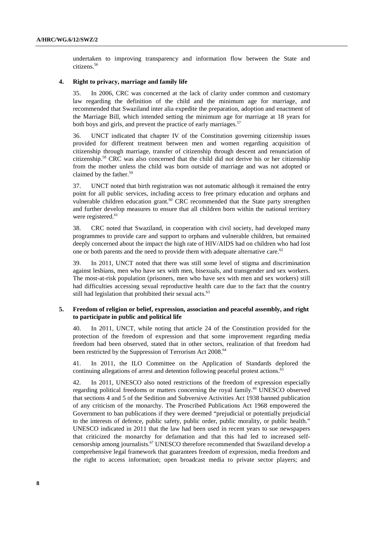undertaken to improving transparency and information flow between the State and citizens.<sup>56</sup>

#### **4. Right to privacy, marriage and family life**

35. In 2006, CRC was concerned at the lack of clarity under common and customary law regarding the definition of the child and the minimum age for marriage, and recommended that Swaziland inter alia expedite the preparation, adoption and enactment of the Marriage Bill, which intended setting the minimum age for marriage at 18 years for both boys and girls, and prevent the practice of early marriages.<sup>57</sup>

36. UNCT indicated that chapter IV of the Constitution governing citizenship issues provided for different treatment between men and women regarding acquisition of citizenship through marriage, transfer of citizenship through descent and renunciation of citizenship.<sup>58</sup> CRC was also concerned that the child did not derive his or her citizenship from the mother unless the child was born outside of marriage and was not adopted or claimed by the father.<sup>59</sup>

37. UNCT noted that birth registration was not automatic although it remained the entry point for all public services, including access to free primary education and orphans and vulnerable children education grant. $60$  CRC recommended that the State party strengthen and further develop measures to ensure that all children born within the national territory were registered.<sup>61</sup>

38. CRC noted that Swaziland, in cooperation with civil society, had developed many programmes to provide care and support to orphans and vulnerable children, but remained deeply concerned about the impact the high rate of HIV/AIDS had on children who had lost one or both parents and the need to provide them with adequate alternative care.<sup>62</sup>

39. In 2011, UNCT noted that there was still some level of stigma and discrimination against lesbians, men who have sex with men, bisexuals, and transgender and sex workers. The most-at-risk population (prisoners, men who have sex with men and sex workers) still had difficulties accessing sexual reproductive health care due to the fact that the country still had legislation that prohibited their sexual acts.<sup>63</sup>

#### **5. Freedom of religion or belief, expression, association and peaceful assembly, and right to participate in public and political life**

40. In 2011, UNCT, while noting that article 24 of the Constitution provided for the protection of the freedom of expression and that some improvement regarding media freedom had been observed, stated that in other sectors, realization of that freedom had been restricted by the Suppression of Terrorism Act 2008.<sup>64</sup>

41. In 2011, the ILO Committee on the Application of Standards deplored the continuing allegations of arrest and detention following peaceful protest actions.<sup>65</sup>

42. In 2011, UNESCO also noted restrictions of the freedom of expression especially regarding political freedoms or matters concerning the royal family.<sup>66</sup> UNESCO observed that sections 4 and 5 of the Sedition and Subversive Activities Act 1938 banned publication of any criticism of the monarchy. The Proscribed Publications Act 1968 empowered the Government to ban publications if they were deemed "prejudicial or potentially prejudicial to the interests of defence, public safety, public order, public morality, or public health." UNESCO indicated in 2011 that the law had been used in recent years to sue newspapers that criticized the monarchy for defamation and that this had led to increased selfcensorship among journalists.<sup>67</sup> UNESCO therefore recommended that Swaziland develop a comprehensive legal framework that guarantees freedom of expression, media freedom and the right to access information; open broadcast media to private sector players; and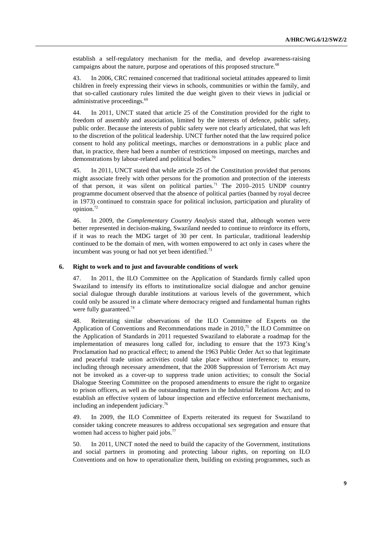establish a self-regulatory mechanism for the media, and develop awareness-raising campaigns about the nature, purpose and operations of this proposed structure.<sup>68</sup>

43. In 2006, CRC remained concerned that traditional societal attitudes appeared to limit children in freely expressing their views in schools, communities or within the family, and that so-called cautionary rules limited the due weight given to their views in judicial or administrative proceedings.<sup>69</sup>

44. In 2011, UNCT stated that article 25 of the Constitution provided for the right to freedom of assembly and association, limited by the interests of defence, public safety, public order. Because the interests of public safety were not clearly articulated, that was left to the discretion of the political leadership. UNCT further noted that the law required police consent to hold any political meetings, marches or demonstrations in a public place and that, in practice, there had been a number of restrictions imposed on meetings, marches and demonstrations by labour-related and political bodies.<sup>70</sup>

45. In 2011, UNCT stated that while article 25 of the Constitution provided that persons might associate freely with other persons for the promotion and protection of the interests of that person, it was silent on political parties.<sup>71</sup> The  $2010-2015$  UNDP country programme document observed that the absence of political parties (banned by royal decree in 1973) continued to constrain space for political inclusion, participation and plurality of opinion.<sup>72</sup>

46. In 2009, the *Complementary Country Analysis* stated that, although women were better represented in decision-making, Swaziland needed to continue to reinforce its efforts, if it was to reach the MDG target of 30 per cent. In particular, traditional leadership continued to be the domain of men, with women empowered to act only in cases where the incumbent was young or had not yet been identified.<sup>73</sup>

#### **6. Right to work and to just and favourable conditions of work**

47. In 2011, the ILO Committee on the Application of Standards firmly called upon Swaziland to intensify its efforts to institutionalize social dialogue and anchor genuine social dialogue through durable institutions at various levels of the government, which could only be assured in a climate where democracy reigned and fundamental human rights were fully guaranteed.<sup>74</sup>

48. Reiterating similar observations of the ILO Committee of Experts on the Application of Conventions and Recommendations made in  $2010^{75}$  the ILO Committee on the Application of Standards in 2011 requested Swaziland to elaborate a roadmap for the implementation of measures long called for, including to ensure that the 1973 King's Proclamation had no practical effect; to amend the 1963 Public Order Act so that legitimate and peaceful trade union activities could take place without interference; to ensure, including through necessary amendment, that the 2008 Suppression of Terrorism Act may not be invoked as a cover-up to suppress trade union activities; to consult the Social Dialogue Steering Committee on the proposed amendments to ensure the right to organize to prison officers, as well as the outstanding matters in the Industrial Relations Act; and to establish an effective system of labour inspection and effective enforcement mechanisms, including an independent judiciary.<sup>76</sup>

49. In 2009, the ILO Committee of Experts reiterated its request for Swaziland to consider taking concrete measures to address occupational sex segregation and ensure that women had access to higher paid jobs.<sup>77</sup>

50. In 2011, UNCT noted the need to build the capacity of the Government, institutions and social partners in promoting and protecting labour rights, on reporting on ILO Conventions and on how to operationalize them, building on existing programmes, such as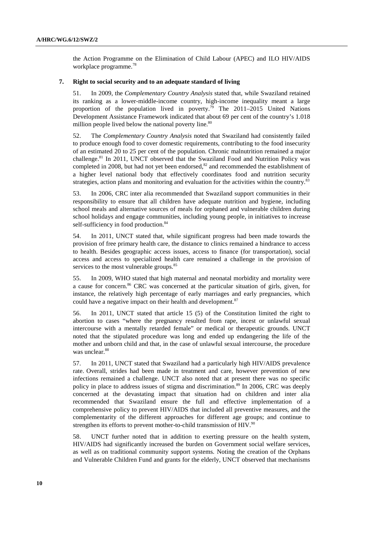the Action Programme on the Elimination of Child Labour (APEC) and ILO HIV/AIDS workplace programme.<sup>78</sup>

#### **7. Right to social security and to an adequate standard of living**

51. In 2009, the *Complementary Country Analysis* stated that, while Swaziland retained its ranking as a lower-middle-income country, high-income inequality meant a large proportion of the population lived in poverty.<sup>79</sup> The 2011–2015 United Nations Development Assistance Framework indicated that about 69 per cent of the country's 1.018 million people lived below the national poverty line. $80$ 

52. The *Complementary Country Analysis* noted that Swaziland had consistently failed to produce enough food to cover domestic requirements, contributing to the food insecurity of an estimated 20 to 25 per cent of the population. Chronic malnutrition remained a major challenge.<sup>81</sup> In 2011, UNCT observed that the Swaziland Food and Nutrition Policy was completed in 2008, but had not yet been endorsed, $82$  and recommended the establishment of a higher level national body that effectively coordinates food and nutrition security strategies, action plans and monitoring and evaluation for the activities within the country. $83$ 

53. In 2006, CRC inter alia recommended that Swaziland support communities in their responsibility to ensure that all children have adequate nutrition and hygiene, including school meals and alternative sources of meals for orphaned and vulnerable children during school holidays and engage communities, including young people, in initiatives to increase self-sufficiency in food production.<sup>84</sup>

54. In 2011, UNCT stated that, while significant progress had been made towards the provision of free primary health care, the distance to clinics remained a hindrance to access to health. Besides geographic access issues, access to finance (for transportation), social access and access to specialized health care remained a challenge in the provision of services to the most vulnerable groups.<sup>85</sup>

55. In 2009, WHO stated that high maternal and neonatal morbidity and mortality were a cause for concern.<sup>86</sup> CRC was concerned at the particular situation of girls, given, for instance, the relatively high percentage of early marriages and early pregnancies, which could have a negative impact on their health and development.<sup>87</sup>

56. In 2011, UNCT stated that article 15 (5) of the Constitution limited the right to abortion to cases "where the pregnancy resulted from rape, incest or unlawful sexual intercourse with a mentally retarded female" or medical or therapeutic grounds. UNCT noted that the stipulated procedure was long and ended up endangering the life of the mother and unborn child and that, in the case of unlawful sexual intercourse, the procedure was unclear.<sup>88</sup>

57. In 2011, UNCT stated that Swaziland had a particularly high HIV/AIDS prevalence rate. Overall, strides had been made in treatment and care, however prevention of new infections remained a challenge. UNCT also noted that at present there was no specific policy in place to address issues of stigma and discrimination.<sup>89</sup> In 2006, CRC was deeply concerned at the devastating impact that situation had on children and inter alia recommended that Swaziland ensure the full and effective implementation of a comprehensive policy to prevent HIV/AIDS that included all preventive measures, and the complementarity of the different approaches for different age groups; and continue to strengthen its efforts to prevent mother-to-child transmission of HIV.<sup>90</sup>

58. UNCT further noted that in addition to exerting pressure on the health system, HIV/AIDS had significantly increased the burden on Government social welfare services, as well as on traditional community support systems. Noting the creation of the Orphans and Vulnerable Children Fund and grants for the elderly, UNCT observed that mechanisms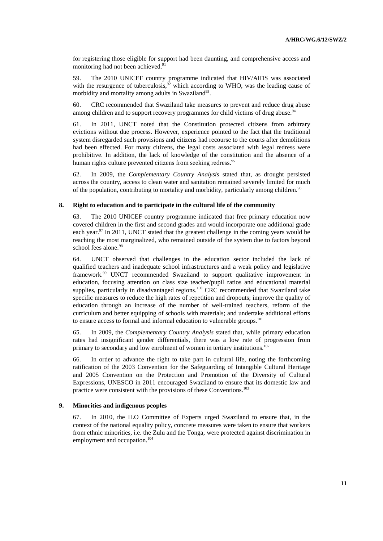for registering those eligible for support had been daunting, and comprehensive access and monitoring had not been achieved.<sup>91</sup>

59. The 2010 UNICEF country programme indicated that HIV/AIDS was associated with the resurgence of tuberculosis,  $92$  which according to WHO, was the leading cause of morbidity and mortality among adults in Swaziland<sup>93</sup>.

60. CRC recommended that Swaziland take measures to prevent and reduce drug abuse among children and to support recovery programmes for child victims of drug abuse.<sup>9</sup>

61. In 2011, UNCT noted that the Constitution protected citizens from arbitrary evictions without due process. However, experience pointed to the fact that the traditional system disregarded such provisions and citizens had recourse to the courts after demolitions had been effected. For many citizens, the legal costs associated with legal redress were prohibitive. In addition, the lack of knowledge of the constitution and the absence of a human rights culture prevented citizens from seeking redress.<sup>95</sup>

62. In 2009, the *Complementary Country Analysis* stated that, as drought persisted across the country, access to clean water and sanitation remained severely limited for much of the population, contributing to mortality and morbidity, particularly among children.<sup>96</sup>

#### **8. Right to education and to participate in the cultural life of the community**

63. The 2010 UNICEF country programme indicated that free primary education now covered children in the first and second grades and would incorporate one additional grade each year.<sup>97</sup> In 2011, UNCT stated that the greatest challenge in the coming years would be reaching the most marginalized, who remained outside of the system due to factors beyond school fees alone.<sup>98</sup>

64. UNCT observed that challenges in the education sector included the lack of qualified teachers and inadequate school infrastructures and a weak policy and legislative framework.<sup>99</sup> UNCT recommended Swaziland to support qualitative improvement in education, focusing attention on class size teacher/pupil ratios and educational material supplies, particularly in disadvantaged regions.<sup>100</sup> CRC recommended that Swaziland take specific measures to reduce the high rates of repetition and dropouts; improve the quality of education through an increase of the number of well-trained teachers, reform of the curriculum and better equipping of schools with materials; and undertake additional efforts to ensure access to formal and informal education to vulnerable groups.<sup>101</sup>

65. In 2009, the *Complementary Country Analysis* stated that, while primary education rates had insignificant gender differentials, there was a low rate of progression from primary to secondary and low enrolment of women in tertiary institutions.<sup>102</sup>

66. In order to advance the right to take part in cultural life, noting the forthcoming ratification of the 2003 Convention for the Safeguarding of Intangible Cultural Heritage and 2005 Convention on the Protection and Promotion of the Diversity of Cultural Expressions, UNESCO in 2011 encouraged Swaziland to ensure that its domestic law and practice were consistent with the provisions of these Conventions.<sup>103</sup>

### **9. Minorities and indigenous peoples**

67. In 2010, the ILO Committee of Experts urged Swaziland to ensure that, in the context of the national equality policy, concrete measures were taken to ensure that workers from ethnic minorities, i.e. the Zulu and the Tonga, were protected against discrimination in employment and occupation.<sup>104</sup>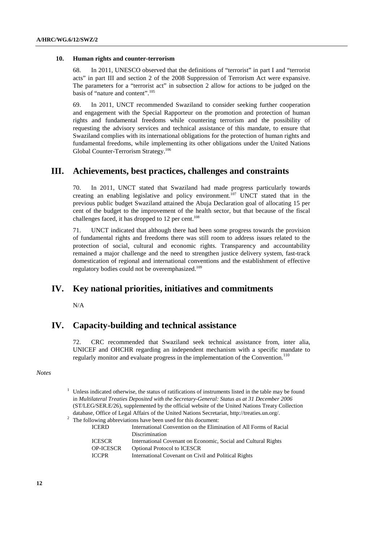#### **10. Human rights and counter-terrorism**

68. In 2011, UNESCO observed that the definitions of "terrorist" in part I and "terrorist acts" in part III and section 2 of the 2008 Suppression of Terrorism Act were expansive. The parameters for a "terrorist act" in subsection 2 allow for actions to be judged on the basis of "nature and content".<sup>105</sup>

69. In 2011, UNCT recommended Swaziland to consider seeking further cooperation and engagement with the Special Rapporteur on the promotion and protection of human rights and fundamental freedoms while countering terrorism and the possibility of requesting the advisory services and technical assistance of this mandate, to ensure that Swaziland complies with its international obligations for the protection of human rights and fundamental freedoms, while implementing its other obligations under the United Nations Global Counter-Terrorism Strategy.<sup>106</sup>

# **III. Achievements, best practices, challenges and constraints**

70. In 2011, UNCT stated that Swaziland had made progress particularly towards creating an enabling legislative and policy environment.<sup>107</sup> UNCT stated that in the previous public budget Swaziland attained the Abuja Declaration goal of allocating 15 per cent of the budget to the improvement of the health sector, but that because of the fiscal challenges faced, it has dropped to  $12$  per cent.<sup>108</sup>

71. UNCT indicated that although there had been some progress towards the provision of fundamental rights and freedoms there was still room to address issues related to the protection of social, cultural and economic rights. Transparency and accountability remained a major challenge and the need to strengthen justice delivery system, fast-track domestication of regional and international conventions and the establishment of effective regulatory bodies could not be overemphasized.<sup>109</sup>

# **IV. Key national priorities, initiatives and commitments**

N/A

# **IV. Capacity-building and technical assistance**

72. CRC recommended that Swaziland seek technical assistance from, inter alia, UNICEF and OHCHR regarding an independent mechanism with a specific mandate to regularly monitor and evaluate progress in the implementation of the Convention.<sup>110</sup>

#### *Notes*

 $1$  Unless indicated otherwise, the status of ratifications of instruments listed in the table may be found in *Multilateral Treaties Deposited with the Secretary-General: Status as at 31 December 2006* (ST/LEG/SER.E/26), supplemented by the official website of the United Nations Treaty Collection database, Office of Legal Affairs of the United Nations Secretariat, http://treaties.un.org/.

 $2^2$  The following abbreviations have been used for this document:

| <b>ICERD</b>     | International Convention on the Elimination of All Forms of Racial |
|------------------|--------------------------------------------------------------------|
|                  | Discrimination                                                     |
| <b>ICESCR</b>    | International Covenant on Economic, Social and Cultural Rights     |
| <b>OP-ICESCR</b> | <b>Optional Protocol to ICESCR</b>                                 |
| <b>ICCPR</b>     | International Covenant on Civil and Political Rights               |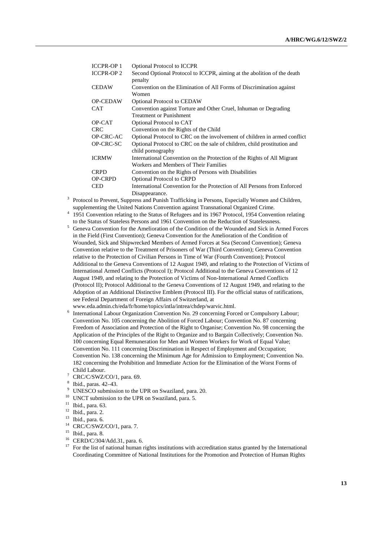| <b>ICCPR-OP 1</b> | <b>Optional Protocol to ICCPR</b>                                         |
|-------------------|---------------------------------------------------------------------------|
| <b>ICCPR-OP 2</b> | Second Optional Protocol to ICCPR, aiming at the abolition of the death   |
|                   | penalty                                                                   |
| <b>CEDAW</b>      | Convention on the Elimination of All Forms of Discrimination against      |
|                   | Women                                                                     |
| <b>OP-CEDAW</b>   | <b>Optional Protocol to CEDAW</b>                                         |
| <b>CAT</b>        | Convention against Torture and Other Cruel, Inhuman or Degrading          |
|                   | <b>Treatment or Punishment</b>                                            |
| OP-CAT            | Optional Protocol to CAT                                                  |
| <b>CRC</b>        | Convention on the Rights of the Child                                     |
| OP-CRC-AC         | Optional Protocol to CRC on the involvement of children in armed conflict |
| OP-CRC-SC         | Optional Protocol to CRC on the sale of children, child prostitution and  |
|                   | child pornography                                                         |
| <b>ICRMW</b>      | International Convention on the Protection of the Rights of All Migrant   |
|                   | Workers and Members of Their Families                                     |
| <b>CRPD</b>       | Convention on the Rights of Persons with Disabilities                     |
| <b>OP-CRPD</b>    | <b>Optional Protocol to CRPD</b>                                          |
| <b>CED</b>        | International Convention for the Protection of All Persons from Enforced  |
|                   | Disappearance.                                                            |

- <sup>3</sup> Protocol to Prevent, Suppress and Punish Trafficking in Persons, Especially Women and Children, supplementing the United Nations Convention against Transnational Organized Crime.
- <sup>4</sup> 1951 Convention relating to the Status of Refugees and its 1967 Protocol, 1954 Convention relating to the Status of Stateless Persons and 1961 Convention on the Reduction of Statelessness.
- <sup>5</sup> Geneva Convention for the Amelioration of the Condition of the Wounded and Sick in Armed Forces in the Field (First Convention); Geneva Convention for the Amelioration of the Condition of Wounded, Sick and Shipwrecked Members of Armed Forces at Sea (Second Convention); Geneva Convention relative to the Treatment of Prisoners of War (Third Convention); Geneva Convention relative to the Protection of Civilian Persons in Time of War (Fourth Convention); Protocol Additional to the Geneva Conventions of 12 August 1949, and relating to the Protection of Victims of International Armed Conflicts (Protocol I); Protocol Additional to the Geneva Conventions of 12 August 1949, and relating to the Protection of Victims of Non-International Armed Conflicts (Protocol II); Protocol Additional to the Geneva Conventions of 12 August 1949, and relating to the Adoption of an Additional Distinctive Emblem (Protocol III). For the official status of ratifications, see Federal Department of Foreign Affairs of Switzerland, at www.eda.admin.ch/eda/fr/home/topics/intla/intrea/chdep/warvic.html.
- 6 International Labour Organization Convention No. 29 concerning Forced or Compulsory Labour; Convention No. 105 concerning the Abolition of Forced Labour; Convention No. 87 concerning Freedom of Association and Protection of the Right to Organise; Convention No. 98 concerning the Application of the Principles of the Right to Organize and to Bargain Collectively; Convention No. 100 concerning Equal Remuneration for Men and Women Workers for Work of Equal Value; Convention No. 111 concerning Discrimination in Respect of Employment and Occupation; Convention No. 138 concerning the Minimum Age for Admission to Employment; Convention No. 182 concerning the Prohibition and Immediate Action for the Elimination of the Worst Forms of Child Labour.
- $7$  CRC/C/SWZ/CO/1, para. 69.
- 8 Ibid., paras. 42–43.
- 9 <sup>9</sup> UNESCO submission to the UPR on Swaziland, para. 20.<br> $^{10}$  UNCT submission to the UPP on Swaziland, para. 5
- <sup>10</sup> UNCT submission to the UPR on Swaziland, para. 5.<br><sup>11</sup> Ibid, para.  $63$
- $\frac{11}{12}$  Ibid., para. 63.
- $\frac{12}{13}$  Ibid., para. 2.
- $13$  Ibid., para. 6.<br> $14$  CRC/C/SWZ.
- CRC/C/SWZ/CO/1, para. 7.
- <sup>15</sup> Ibid., para. 8.<br><sup>16</sup> CERD/C/204
- <sup>16</sup> CERD/C/304/Add.31, para. 6.<br><sup>17</sup> For the list of national human
- <sup>17</sup> For the list of national human rights institutions with accreditation status granted by the International Coordinating Committee of National Institutions for the Promotion and Protection of Human Rights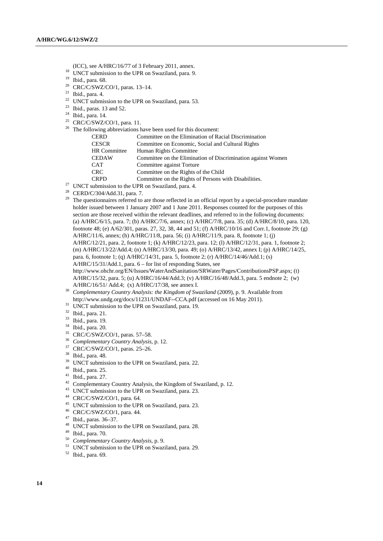- (ICC), see A/HRC/16/77 of 3 February 2011, annex.
- <sup>18</sup> UNCT submission to the UPR on Swaziland, para. 9.
- <sup>19</sup> Ibid., para. 68.
- <sup>20</sup> CRC/C/SWZ/CO/1, paras. 13-14.
- $21$  Ibid., para. 4.
- <sup>22</sup> UNCT submission to the UPR on Swaziland, para. 53.
- $23$  Ibid., paras. 13 and 52.
- $24$  Ibid., para. 14.
- $25$  CRC/C/SWZ/CO/1, para. 11.  $26$  The fol

| llowing abbreviations have been used for this document: |                                                              |  |
|---------------------------------------------------------|--------------------------------------------------------------|--|
| <b>CERD</b>                                             | Committee on the Elimination of Racial Discrimination        |  |
| <b>CESCR</b>                                            | Committee on Economic, Social and Cultural Rights            |  |
| <b>HR</b> Committee                                     | Human Rights Committee                                       |  |
| <b>CEDAW</b>                                            | Committee on the Elimination of Discrimination against Women |  |
| <b>CAT</b>                                              | Committee against Torture                                    |  |
| <b>CRC</b>                                              | Committee on the Rights of the Child                         |  |
| <b>CRPD</b>                                             | Committee on the Rights of Persons with Disabilities.        |  |
| submission to the LIDD on Curriculand name A            |                                                              |  |

- $27$  UNCT submission to the UPR on Swaziland, para. 4.
- <sup>28</sup> CERD/C/304/Add.31, para. 7.
- <sup>29</sup> The questionnaires referred to are those reflected in an official report by a special-procedure mandate holder issued between 1 January 2007 and 1 June 2011. Responses counted for the purposes of this section are those received within the relevant deadlines, and referred to in the following documents: (a) A/HRC/6/15, para. 7; (b) A/HRC/7/6, annex; (c) A/HRC/7/8, para. 35; (d) A/HRC/8/10, para. 120, footnote 48; (e) A/62/301, paras. 27, 32, 38, 44 and 51; (f) A/HRC/10/16 and Corr.1, footnote 29; (g) A/HRC/11/6, annex; (h) A/HRC/11/8, para. 56; (i) A/HRC/11/9, para. 8, footnote 1; (j) A/HRC/12/21, para. 2, footnote 1; (k) A/HRC/12/23, para. 12; (l) A/HRC/12/31, para. 1, footnote 2; (m) A/HRC/13/22/Add.4; (n) A/HRC/13/30, para. 49; (o) A/HRC/13/42, annex I; (p) A/HRC/14/25, para. 6, footnote 1; (q) A/HRC/14/31, para. 5, footnote 2; (r) A/HRC/14/46/Add.1; (s) A/HRC/15/31/Add.1, para. 6 – for list of responding States, see http://www.ohchr.org/EN/Issues/WaterAndSanitation/SRWater/Pages/ContributionsPSP.aspx; (t) A/HRC/15/32, para. 5; (u) A/HRC/16/44/Add.3; (v) A/HRC/16/48/Add.3, para. 5 endnote 2; (w) A/HRC/16/51/ Add.4; (x) A/HRC/17/38, see annex I.
- <sup>30</sup> *Complementary Country Analysis: the Kingdom of Swaziland* (2009), p. 9. Available from http://www.undg.org/docs/11231/UNDAF--CCA.pdf (accessed on 16 May 2011).
- <sup>31</sup> UNCT submission to the UPR on Swaziland, para. 19.
- <sup>32</sup> Ibid., para. 21.
- <sup>33</sup> Ibid., para. 19.
- <sup>34</sup> Ibid., para. 20.
- <sup>35</sup> CRC/C/SWZ/CO/1, paras. 57–58.
- <sup>36</sup> *Complementary Country Analysis*, p. 12.
- <sup>37</sup> CRC/C/SWZ/CO/1, paras. 25–26.
- <sup>38</sup> Ibid., para. 48.
- $39$  UNCT submission to the UPR on Swaziland, para. 22.
- $^{40}$  Ibid., para. 25.
- Ibid., para. 27.
- <sup>42</sup> Complementary Country Analysis, the Kingdom of Swaziland, p. 12.
- <sup>43</sup> UNCT submission to the UPR on Swaziland, para. 23.
- <sup>44</sup> CRC/C/SWZ/CO/1, para. 64.
- <sup>45</sup> UNCT submission to the UPR on Swaziland, para. 23.
- <sup>46</sup> CRC/C/SWZ/CO/1, para. 44.
- <sup>47</sup> Ibid., paras. 36–37.
- <sup>48</sup> UNCT submission to the UPR on Swaziland, para. 28.
- $^{49}$  Ibid., para. 70.
- <sup>50</sup> *Complementary Country Analysis*, p. 9.
- <sup>51</sup> UNCT submission to the UPR on Swaziland, para. 29.
- <sup>52</sup> Ibid., para. 69.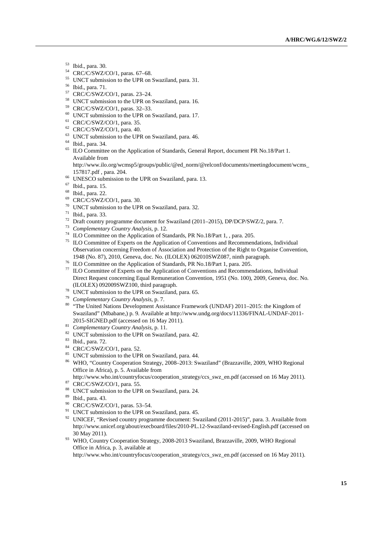- $^{53}$  Ibid., para. 30.<br> $^{54}$  CBC/C/SWZ/C
- CRC/C/SWZ/CO/1, paras. 67-68.
- <sup>55</sup> UNCT submission to the UPR on Swaziland, para. 31.
- <sup>56</sup> Ibid., para. 71.
- <sup>57</sup> CRC/C/SWZ/CO/1, paras. 23–24.
- <sup>58</sup> UNCT submission to the UPR on Swaziland, para. 16.
- <sup>59</sup> CRC/C/SWZ/CO/1, paras. 32–33.
- <sup>60</sup> UNCT submission to the UPR on Swaziland, para. 17.
- <sup>61</sup> CRC/C/SWZ/CO/1, para. 35.
- <sup>62</sup> CRC/C/SWZ/CO/1, para. 40.
- <sup>63</sup> UNCT submission to the UPR on Swaziland, para. 46.
- <sup>64</sup> Ibid., para. 34.
- <sup>65</sup> ILO Committee on the Application of Standards, General Report, document PR No.18/Part 1. Available from

http://www.ilo.org/wcmsp5/groups/public/@ed\_norm/@relconf/documents/meetingdocument/wcms\_ 157817.pdf , para. 204.

- <sup>66</sup> UNESCO submission to the UPR on Swaziland, para. 13.
- <sup>67</sup> Ibid., para. 15.
- <sup>68</sup> Ibid., para. 22.
- <sup>69</sup> CRC/C/SWZ/CO/1, para. 30.
- <sup>70</sup> UNCT submission to the UPR on Swaziland, para. 32.
- $71$  Ibid., para. 33.
- <sup>72</sup> Draft country programme document for Swaziland (2011–2015), DP/DCP/SWZ/2, para. 7.<br><sup>73</sup> Countementary Country Anglysis p. 12.
- <sup>73</sup> *Complementary Country Analysis*, p. 12.
- <sup>74</sup> ILO Committee on the Application of Standards, PR No.18/Part 1, , para. 205.
- <sup>75</sup> ILO Committee of Experts on the Application of Conventions and Recommendations, Individual Observation concerning Freedom of Association and Protection of the Right to Organise Convention, 1948 (No. 87), 2010, Geneva, doc. No. (ILOLEX) 062010SWZ087, ninth paragraph.
- <sup>76</sup> ILO Committee on the Application of Standards, PR No.18/Part 1, para. 205.
- <sup>77</sup> ILO Committee of Experts on the Application of Conventions and Recommendations, Individual Direct Request concerning Equal Remuneration Convention, 1951 (No. 100), 2009, Geneva, doc. No. (ILOLEX) 092009SWZ100, third paragraph.
- <sup>78</sup> UNCT submission to the UPR on Swaziland, para. 65.
- <sup>79</sup> *Complementary Country Analysis*, p. 7.
- <sup>80</sup> "The United Nations Development Assistance Framework (UNDAF) 2011–2015: the Kingdom of Swaziland" (Mbabane,) p. 9. Available at http://www.undg.org/docs/11336/FINAL-UNDAF-2011- 2015-SIGNED.pdf (accessed on 16 May 2011).
- <sup>81</sup> *Complementary Country Analysis*, p. 11.
- <sup>82</sup> UNCT submission to the UPR on Swaziland, para. 42.
- <sup>83</sup> Ibid., para. 72.
- <sup>84</sup> CRC/C/SWZ/CO/1, para. 52.
- <sup>85</sup> UNCT submission to the UPR on Swaziland, para. 44.
- <sup>86</sup> WHO, "Country Cooperation Strategy, 2008–2013: Swaziland" (Brazzaville, 2009, WHO Regional Office in Africa), p. 5. Available from
- http://www.who.int/countryfocus/cooperation\_strategy/ccs\_swz\_en.pdf (accessed on 16 May 2011).
- 87 CRC/C/SWZ/CO/1, para. 55.
- <sup>88</sup> UNCT submission to the UPR on Swaziland, para. 24.
- <sup>89</sup> Ibid., para. 43.
- <sup>90</sup> CRC/C/SWZ/CO/1, paras. 53–54.
- <sup>91</sup> UNCT submission to the UPR on Swaziland, para. 45.
- <sup>92</sup> UNICEF, "Revised country programme document: Swaziland (2011-2015)", para. 3. Available from http://www.unicef.org/about/execboard/files/2010-PL.12-Swaziland-revised-English.pdf (accessed on 30 May 2011).
- <sup>93</sup> WHO, Country Cooperation Strategy, 2008-2013 Swaziland, Brazzaville, 2009, WHO Regional Office in Africa, p. 3, available at

http://www.who.int/countryfocus/cooperation\_strategy/ccs\_swz\_en.pdf (accessed on 16 May 2011).